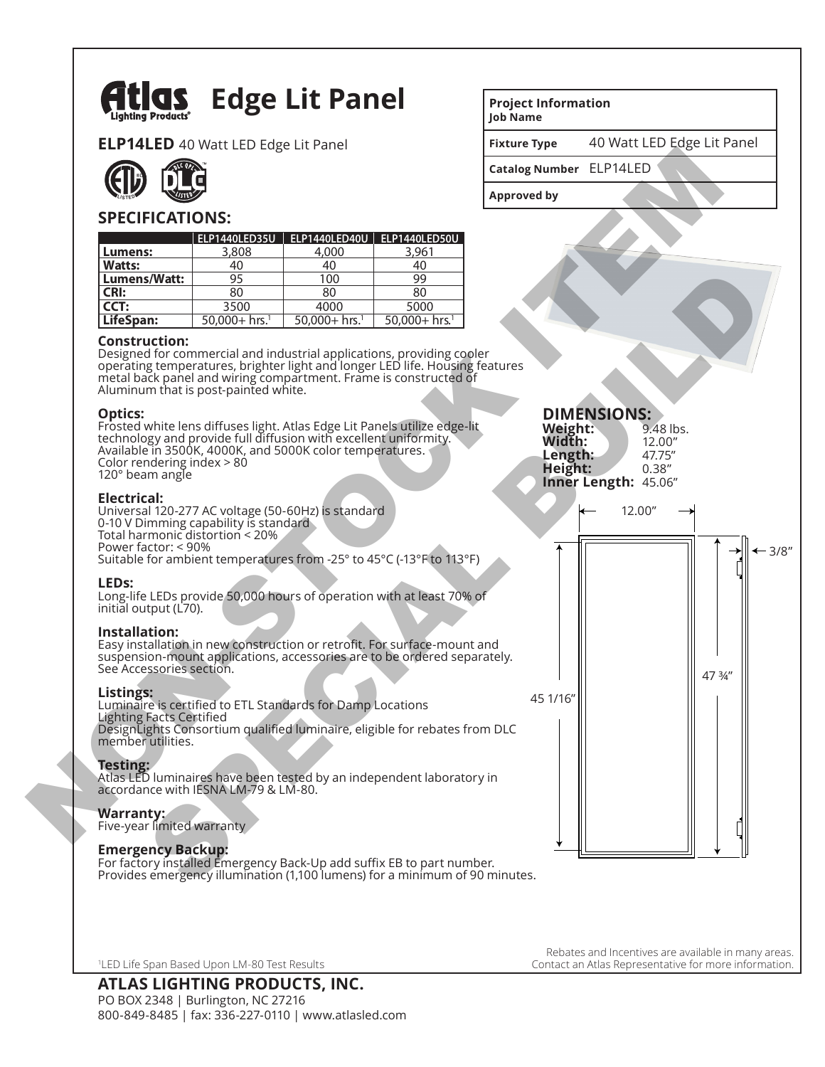

**ELP14LED** 40 Watt LED Edge Lit Panel



## **SPECIFICATIONS:**

|               | ELP1440LED35U               |                             | ELP1440LED40U   ELP1440LED50U |
|---------------|-----------------------------|-----------------------------|-------------------------------|
| Lumens:       | 3,808                       | 4,000                       | 3,961                         |
| <b>Watts:</b> | 40                          | 40                          | 40                            |
| Lumens/Watt:  | 95                          | 100                         | 99                            |
| CRI:          | 80                          | 80                          | 80                            |
| l CCT:        | 3500                        | 4000                        | 5000                          |
| LifeSpan:     | $50,000+$ hrs. <sup>1</sup> | $50,000+$ hrs. <sup>1</sup> | $50,000+$ hrs. <sup>1</sup>   |

#### **Construction:**

Designed for commercial and industrial applications, providing cooler operating temperatures, brighter light and longer LED life. Housing features metal back panel and wiring compartment. Frame is constructed of Aluminum that is post-painted white.

### **Optics:**

Frosted white lens diffuses light. Atlas Edge Lit Panels utilize edge-lit technology and provide full diffusion with excellent uniformity. Available in 3500K, 4000K, and 5000K color temperatures. Color rendering index > 80 120° beam angle

### **Electrical:**

Universal 120-277 AC voltage (50-60Hz) is standard 0-10 V Dimming capability is standard Total harmonic distortion < 20% Power factor: < 90% Suitable for ambient temperatures from -25° to 45°C (-13°F to 113°F)

### **LEDs:**

Long-life LEDs provide 50,000 hours of operation with at least 70% of initial output (L70).

### **Installation:**

Easy installation in new construction or retrofit. For surface-mount and suspension-mount applications, accessories are to be ordered separately. See Accessories section.

### **Listings:**

Luminaire is certified to ETL Standards for Damp Locations Lighting Facts Certified DesignLights Consortium qualified luminaire, eligible for rebates from DLC member utilities.

### **Testing:**

Atlas LED luminaires have been tested by an independent laboratory in accordance with IESNA LM-79 & LM-80.

### **Warranty:**

Five-year limited warranty

### **Emergency Backup:**

For factory installed Emergency Back-Up add suffix EB to part number. Provides emergency illumination (1,100 lumens) for a minimum of 90 minutes.

1 LED Life Span Based Upon LM-80 Test Results

# **Project Information**

**Job Name**

**Fixture Type** 40 Watt LED Edge Lit Panel

**Catalog Number**  ELP14LED

**Approved by**

**DIMENSIONS:**<br>Weight: 9.48 lbs.

**Weight:** 9.48 lb<br>**Width:** 12.00" **Width:** 12.00"<br>**Length:** 47.75" **Length:** 47.75" **Height: Inner Length:** 45.06" 3/8" 45 1/16" 47 ¾" 12.00" Non-Real Control and Control and Control and Control and Control and Control and Control and Control and Control and Control and Control and Control and Control and Control and Control and Control and Control and Control a ENTRE 1990<br>
The metallical contents applications providing code<br>
of the commercial and industrial applications providing code<br>
disconnection in the content light and to fire the total content of the stress in the set paint

> Rebates and Incentives are available in many areas. Contact an Atlas Representative for more information.